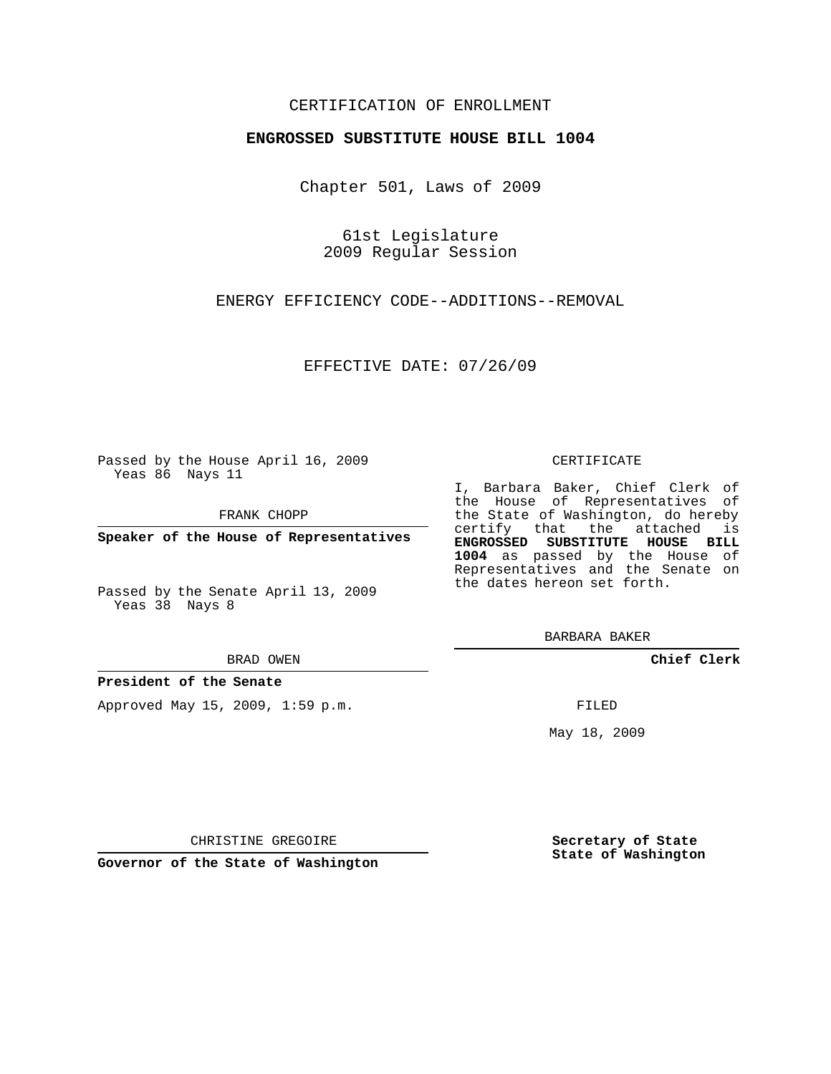### CERTIFICATION OF ENROLLMENT

#### **ENGROSSED SUBSTITUTE HOUSE BILL 1004**

Chapter 501, Laws of 2009

61st Legislature 2009 Regular Session

ENERGY EFFICIENCY CODE--ADDITIONS--REMOVAL

EFFECTIVE DATE: 07/26/09

Passed by the House April 16, 2009 Yeas 86 Nays 11

FRANK CHOPP

**Speaker of the House of Representatives**

Passed by the Senate April 13, 2009 Yeas 38 Nays 8

#### BRAD OWEN

**President of the Senate**

Approved May 15, 2009, 1:59 p.m.

#### CERTIFICATE

I, Barbara Baker, Chief Clerk of the House of Representatives of the State of Washington, do hereby certify that the attached is **ENGROSSED SUBSTITUTE HOUSE BILL 1004** as passed by the House of Representatives and the Senate on the dates hereon set forth.

BARBARA BAKER

**Chief Clerk**

FILED

May 18, 2009

**Secretary of State State of Washington**

CHRISTINE GREGOIRE

**Governor of the State of Washington**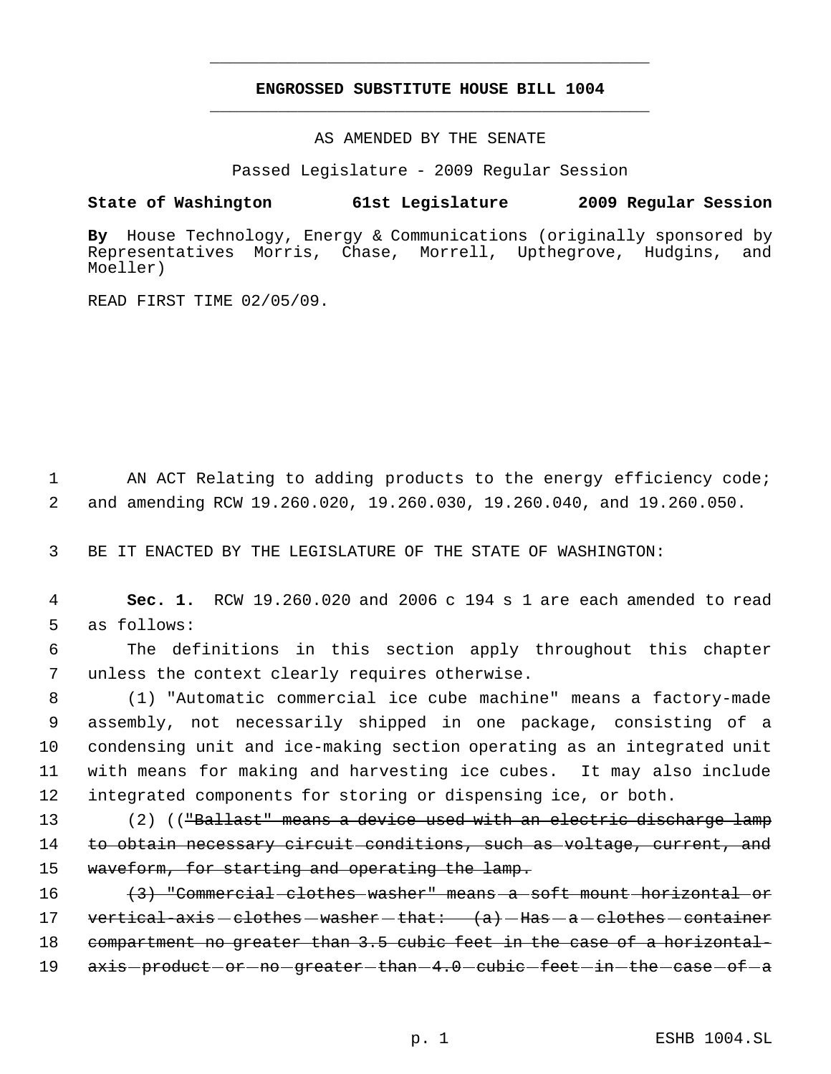# **ENGROSSED SUBSTITUTE HOUSE BILL 1004** \_\_\_\_\_\_\_\_\_\_\_\_\_\_\_\_\_\_\_\_\_\_\_\_\_\_\_\_\_\_\_\_\_\_\_\_\_\_\_\_\_\_\_\_\_

\_\_\_\_\_\_\_\_\_\_\_\_\_\_\_\_\_\_\_\_\_\_\_\_\_\_\_\_\_\_\_\_\_\_\_\_\_\_\_\_\_\_\_\_\_

AS AMENDED BY THE SENATE

Passed Legislature - 2009 Regular Session

## **State of Washington 61st Legislature 2009 Regular Session**

**By** House Technology, Energy & Communications (originally sponsored by Representatives Morris, Chase, Morrell, Upthegrove, Hudgins, and Moeller)

READ FIRST TIME 02/05/09.

1 AN ACT Relating to adding products to the energy efficiency code; 2 and amending RCW 19.260.020, 19.260.030, 19.260.040, and 19.260.050.

3 BE IT ENACTED BY THE LEGISLATURE OF THE STATE OF WASHINGTON:

 4 **Sec. 1.** RCW 19.260.020 and 2006 c 194 s 1 are each amended to read 5 as follows:

 6 The definitions in this section apply throughout this chapter 7 unless the context clearly requires otherwise.

 (1) "Automatic commercial ice cube machine" means a factory-made assembly, not necessarily shipped in one package, consisting of a condensing unit and ice-making section operating as an integrated unit with means for making and harvesting ice cubes. It may also include integrated components for storing or dispensing ice, or both.

13 (2) ((<del>"Ballast" means a device used with an electric discharge lamp</del> 14 to obtain necessary circuit conditions, such as voltage, current, and 15 waveform, for starting and operating the lamp.

16 (3) "Commercial clothes washer" means a soft mount horizontal or 17 vertical-axis - clothes - washer - that:  $(a)$  - Has - a - clothes - container 18 compartment no greater than 3.5 cubic feet in the case of a horizontal-19 axis-product-or-no-greater-than-4.0-cubic-feet-in-the-case-of-a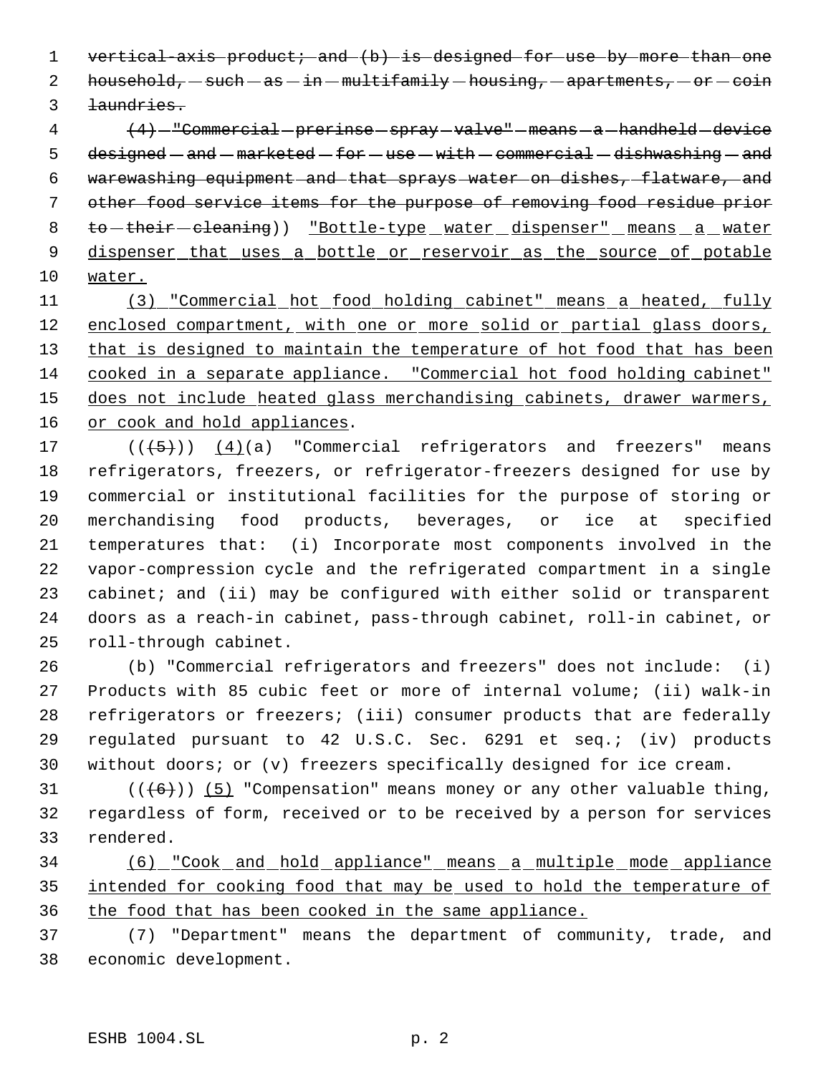1 vertical-axis product; and (b) is designed for use by more than one 2 household,  $-$  such  $-$  as  $-$  in  $-$  multifamily  $-$  housing,  $-$  apartments,  $-$  or  $-$  coin laundries.

4 (4) - "Commercial prerinse - spray - valve" - means - a - handheld - device 5 designed  $-$  and  $-$  marketed  $-$  for  $-$  use  $-$  with  $-$  commercial  $-$  dishwashing  $-$  and warewashing equipment and that sprays water on dishes, flatware, and other food service items for the purpose of removing food residue prior 8 to-their-cleaning)) "Bottle-type water dispenser" means a water 9 dispenser that uses a bottle or reservoir as the source of potable water.

 (3) "Commercial hot food holding cabinet" means a heated, fully 12 enclosed compartment, with one or more solid or partial glass doors, 13 that is designed to maintain the temperature of hot food that has been 14 cooked in a separate appliance. "Commercial hot food holding cabinet" 15 does not include heated glass merchandising cabinets, drawer warmers, 16 or cook and hold appliances.

 $((+5))$   $(4)(a)$  "Commercial refrigerators and freezers" means refrigerators, freezers, or refrigerator-freezers designed for use by commercial or institutional facilities for the purpose of storing or merchandising food products, beverages, or ice at specified temperatures that: (i) Incorporate most components involved in the vapor-compression cycle and the refrigerated compartment in a single 23 cabinet; and (ii) may be configured with either solid or transparent doors as a reach-in cabinet, pass-through cabinet, roll-in cabinet, or roll-through cabinet.

 (b) "Commercial refrigerators and freezers" does not include: (i) Products with 85 cubic feet or more of internal volume; (ii) walk-in refrigerators or freezers; (iii) consumer products that are federally regulated pursuant to 42 U.S.C. Sec. 6291 et seq.; (iv) products without doors; or (v) freezers specifically designed for ice cream.

31  $((\langle 6 \rangle) )$  (5) "Compensation" means money or any other valuable thing, regardless of form, received or to be received by a person for services rendered.

 (6) "Cook and hold appliance" means a multiple mode appliance intended for cooking food that may be used to hold the temperature of the food that has been cooked in the same appliance.

 (7) "Department" means the department of community, trade, and economic development.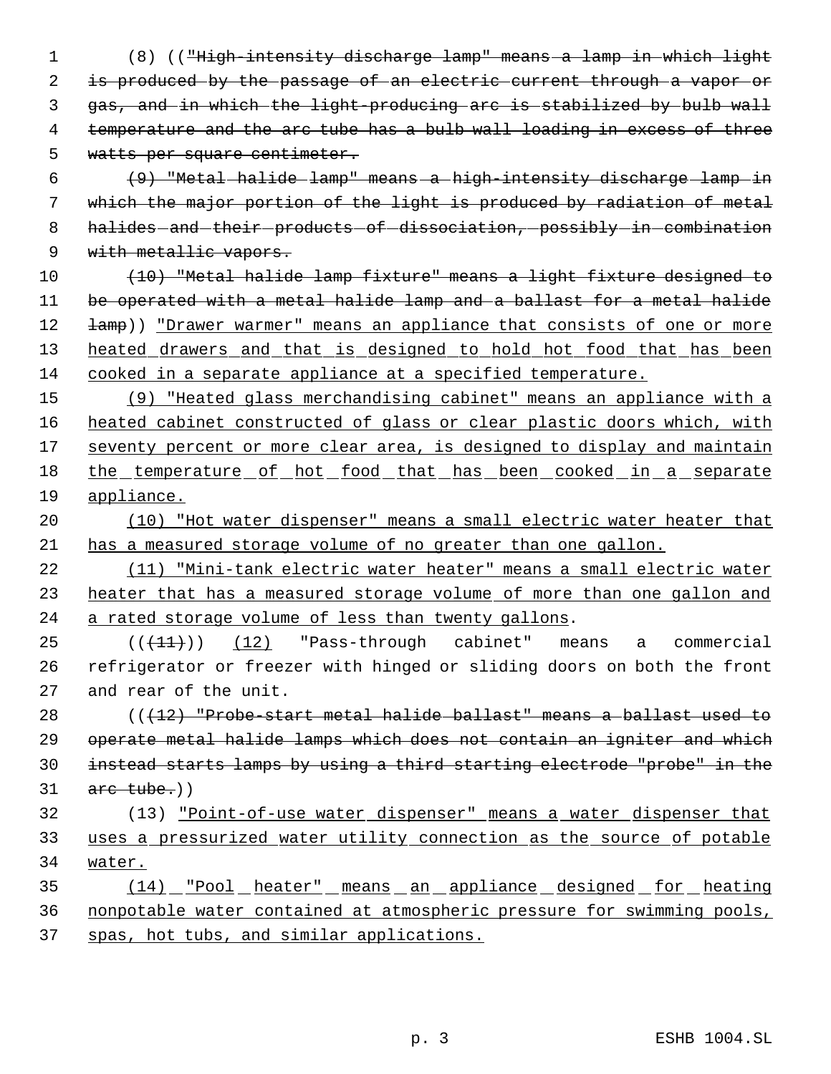- (8) (("High-intensity discharge lamp" means a lamp in which light 2 is produced by the passage of an electric current through a vapor or gas, and in which the light-producing arc is stabilized by bulb wall 4 temperature and the arc tube has a bulb wall loading in excess of three watts per square centimeter.
- (9) "Metal halide lamp" means a high-intensity discharge lamp in which the major portion of the light is produced by radiation of metal 8 halides - and - their - products - of - dissociation, - possibly - in - combination 9 with metallic vapors.
- (10) "Metal halide lamp fixture" means a light fixture designed to be operated with a metal halide lamp and a ballast for a metal halide 12  $\pm amp$ )) "Drawer warmer" means an appliance that consists of one or more 13 heated drawers and that is designed to hold hot food that has been cooked in a separate appliance at a specified temperature.
- (9) "Heated glass merchandising cabinet" means an appliance with a 16 heated cabinet constructed of glass or clear plastic doors which, with 17 seventy percent or more clear area, is designed to display and maintain 18 the temperature of hot food that has been cooked in a separate appliance.
- (10) "Hot water dispenser" means a small electric water heater that has a measured storage volume of no greater than one gallon.
- (11) "Mini-tank electric water heater" means a small electric water 23 heater that has a measured storage volume of more than one gallon and 24 a rated storage volume of less than twenty gallons.
- $((+11))$  (12) "Pass-through cabinet" means a commercial refrigerator or freezer with hinged or sliding doors on both the front and rear of the unit.
- $($   $($   $($   $+12)$  "Probe-start metal halide-ballast" means a ballast used to operate metal halide lamps which does not contain an igniter and which instead starts lamps by using a third starting electrode "probe" in the arc tube.)
- (13) "Point-of-use water dispenser" means a water dispenser that uses a pressurized water utility connection as the source of potable water.
- (14) "Pool heater" means an appliance designed for heating nonpotable water contained at atmospheric pressure for swimming pools, spas, hot tubs, and similar applications.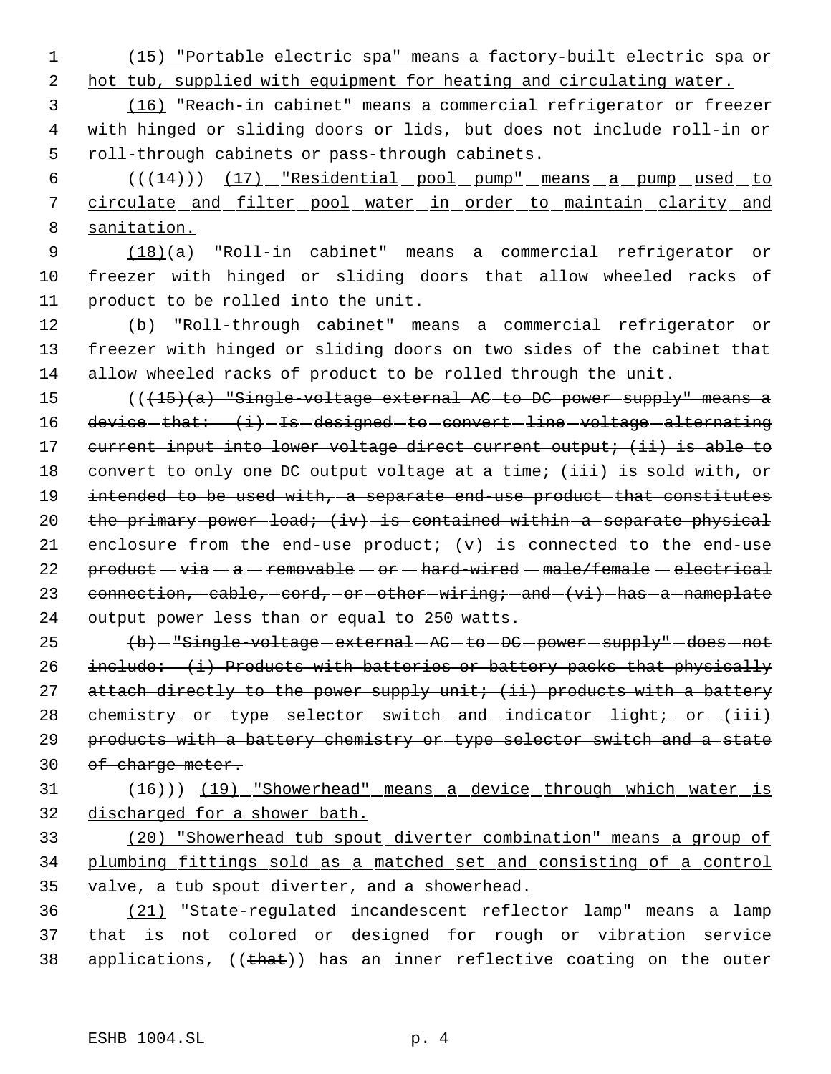(15) "Portable electric spa" means a factory-built electric spa or

2 hot tub, supplied with equipment for heating and circulating water.

 (16) "Reach-in cabinet" means a commercial refrigerator or freezer with hinged or sliding doors or lids, but does not include roll-in or roll-through cabinets or pass-through cabinets.

6 (( $(14)$ )) (17) "Residential pool pump" means a pump used to circulate and filter pool water in order to maintain clarity and sanitation.

 (18)(a) "Roll-in cabinet" means a commercial refrigerator or freezer with hinged or sliding doors that allow wheeled racks of product to be rolled into the unit.

 (b) "Roll-through cabinet" means a commercial refrigerator or freezer with hinged or sliding doors on two sides of the cabinet that allow wheeled racks of product to be rolled through the unit.

 (((15)(a) "Single-voltage external AC to DC power supply" means a 16 device-that:  $(i)$ -Is-designed-to-convert-line-voltage-alternating 17 current input into lower voltage direct current output; (ii) is able to 18 convert to only one DC output voltage at a time; (iii) is sold with, or intended to be used with, a separate end-use product that constitutes 20 the primary power load;  $(iv)$  is contained within a separate physical  $enelosure-from-the-end-use-product:  $(v)$  is-connected-to-the-end-use$  $preduct - via - a - removable - or - hard-wired - male/female - electrical$ 23 connection,  $-cable$ ,  $-cord$ ,  $-or$   $-other$   $-viring$ ;  $-and$   $(vi)$   $-has$   $-a$   $-nameplate$ output power less than or equal to 250 watts.

25 (b) - "Single-voltage - external - AC - to - DC - power - supply" - does - not include: (i) Products with batteries or battery packs that physically 27 attach directly to the power supply unit; (ii) products with a battery  $chemistry-or-type-selection-switch-and-indicate or-light-inductor (i.e. 1001)$  products with a battery chemistry or type selector switch and a state 30 of charge meter.

# 31 (16)) (19) "Showerhead" means a device through which water is discharged for a shower bath.

 (20) "Showerhead tub spout diverter combination" means a group of plumbing fittings sold as a matched set and consisting of a control valve, a tub spout diverter, and a showerhead.

 (21) "State-regulated incandescent reflector lamp" means a lamp that is not colored or designed for rough or vibration service 38 applications, ((that)) has an inner reflective coating on the outer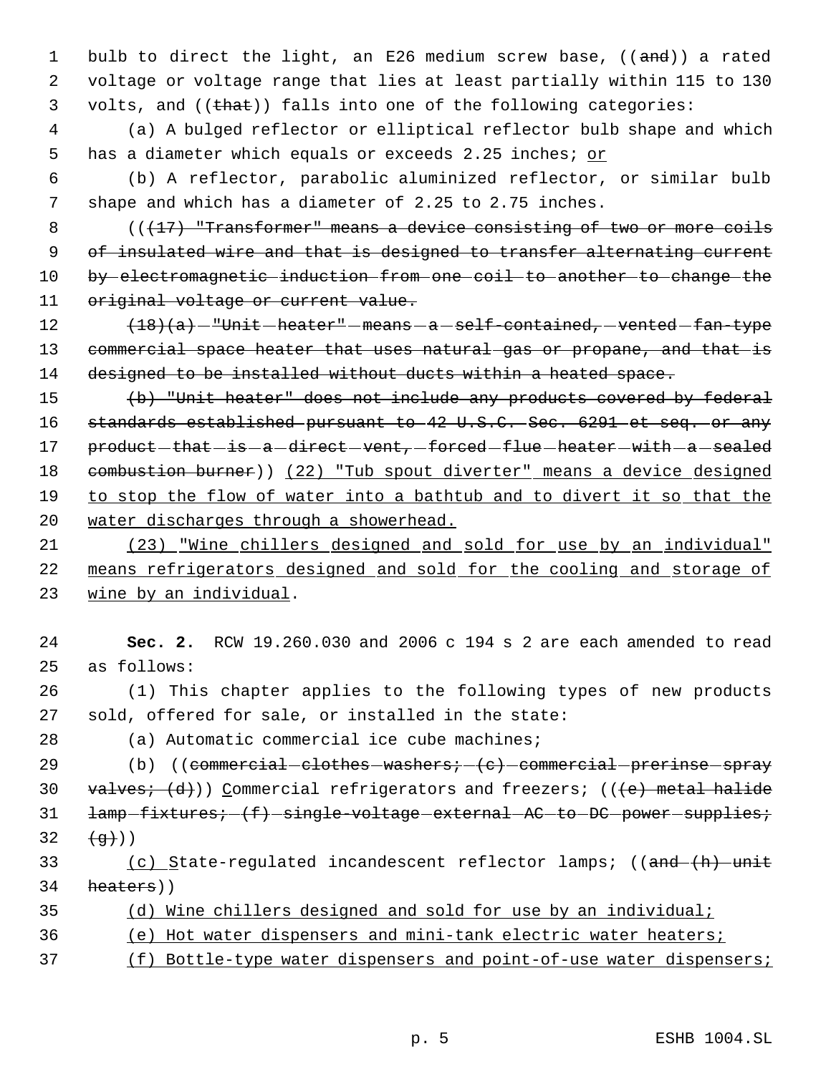1 bulb to direct the light, an E26 medium screw base, ((and)) a rated 2 voltage or voltage range that lies at least partially within 115 to 130 3 volts, and ((that)) falls into one of the following categories:

 4 (a) A bulged reflector or elliptical reflector bulb shape and which 5 has a diameter which equals or exceeds 2.25 inches; or

 6 (b) A reflector, parabolic aluminized reflector, or similar bulb 7 shape and which has a diameter of 2.25 to 2.75 inches.

8 (( $\sqrt{17}$ ) "Transformer" means a device consisting of two or more coils 9 of insulated wire and that is designed to transfer alternating current 10 by electromagnetic induction from one coil to another to change the 11 original voltage or current value.

12  $(18)(a)$  - "Unit heater" - means - a self-contained, vented fan-type 13 commercial space heater that uses natural gas or propane, and that is 14 designed to be installed without ducts within a heated space.

15 (b) "Unit heater" does not include any products covered by federal 16 standards established pursuant to 42 U.S.C. Sec. 6291 et seq. or any 17 product-that-is-a-direct-vent,-forced-flue-heater-with-a-sealed 18 combustion burner)) (22) "Tub spout diverter" means a device designed 19 to stop the flow of water into a bathtub and to divert it so that the 20 water discharges through a showerhead.

21 (23) "Wine chillers designed and sold for use by an individual" 22 means refrigerators designed and sold for the cooling and storage of 23 wine by an individual.

24 **Sec. 2.** RCW 19.260.030 and 2006 c 194 s 2 are each amended to read 25 as follows:

26 (1) This chapter applies to the following types of new products 27 sold, offered for sale, or installed in the state:

28 (a) Automatic commercial ice cube machines;

29  $(b)$  ((commercial clothes washers;  $(c)$  commercial prerinse spray 30 valves;  $(d)$ ) Commercial refrigerators and freezers; (( $(e)$  metal halide 31 lamp-fixtures; (f) single-voltage external AC to DC power supplies; 32  $(\alpha)$ ))

33 (c) State-regulated incandescent reflector lamps; ((and (h) unit 34 heaters))

| 35 |  |  |  |  |  | (d) Wine chillers designed and sold for use by an individual; |  |
|----|--|--|--|--|--|---------------------------------------------------------------|--|
|    |  |  |  |  |  |                                                               |  |

- 36 (e) Hot water dispensers and mini-tank electric water heaters;
- 37 (f) Bottle-type water dispensers and point-of-use water dispensers;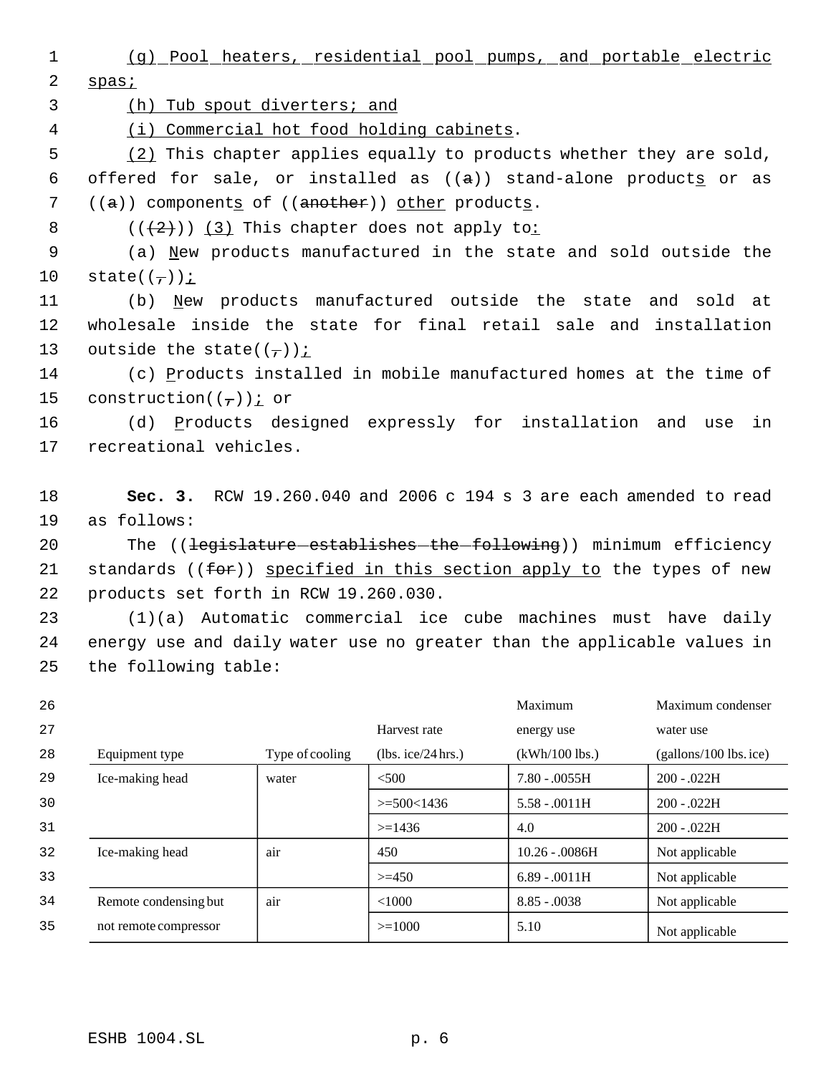1 (g) Pool heaters, residential pool pumps, and portable electric 2 spas; 3 (h) Tub spout diverters; and 4 (i) Commercial hot food holding cabinets. 5 (2) This chapter applies equally to products whether they are sold, 6 offered for sale, or installed as  $((a))$  stand-alone products or as 7 ((a)) components of ((another)) other products. 8  $((+2+))$   $(3)$  This chapter does not apply to: 9 (a) New products manufactured in the state and sold outside the 10 state( $(\frac{\ }{}$ )); 11 (b) New products manufactured outside the state and sold at 12 wholesale inside the state for final retail sale and installation 13 outside the state( $(\tau)$ ) *i* 14 (c) Products installed in mobile manufactured homes at the time of 15 construction( $(\tau)$ )  $\leq$  or 16 (d) Products designed expressly for installation and use in 17 recreational vehicles. 18 **Sec. 3.** RCW 19.260.040 and 2006 c 194 s 3 are each amended to read 19 as follows: 20 The ((<del>legislature establishes the following</del>)) minimum efficiency 21 standards ((for)) specified in this section apply to the types of new 22 products set forth in RCW 19.260.030.

23 (1)(a) Automatic commercial ice cube machines must have daily 24 energy use and daily water use no greater than the applicable values in 25 the following table:

| 26 |                       |                 |                    | Maximum          | Maximum condenser        |
|----|-----------------------|-----------------|--------------------|------------------|--------------------------|
| 27 |                       |                 | Harvest rate       | energy use       | water use                |
| 28 | Equipment type        | Type of cooling | (lbs. ice/24 hrs.) | $(kWh/100$ lbs.) | $(gallons/100$ lbs. ice) |
| 29 | Ice-making head       | water           | $<$ 500            | $7.80 - 0.0055H$ | $200 - .022H$            |
| 30 |                       |                 | $>= 500 < 1436$    | $5.58 - 0011H$   | $200 - 022H$             |
| 31 |                       |                 | $>=1436$           | 4.0              | $200 - .022H$            |
| 32 | Ice-making head       | air             | 450                | $10.26 - 0.086H$ | Not applicable           |
| 33 |                       |                 | $>=150$            | $6.89 - .0011H$  | Not applicable           |
| 34 | Remote condensing but | air             | < 1000             | $8.85 - 0.0038$  | Not applicable           |
| 35 | not remote compressor |                 | $>=1000$           | 5.10             | Not applicable           |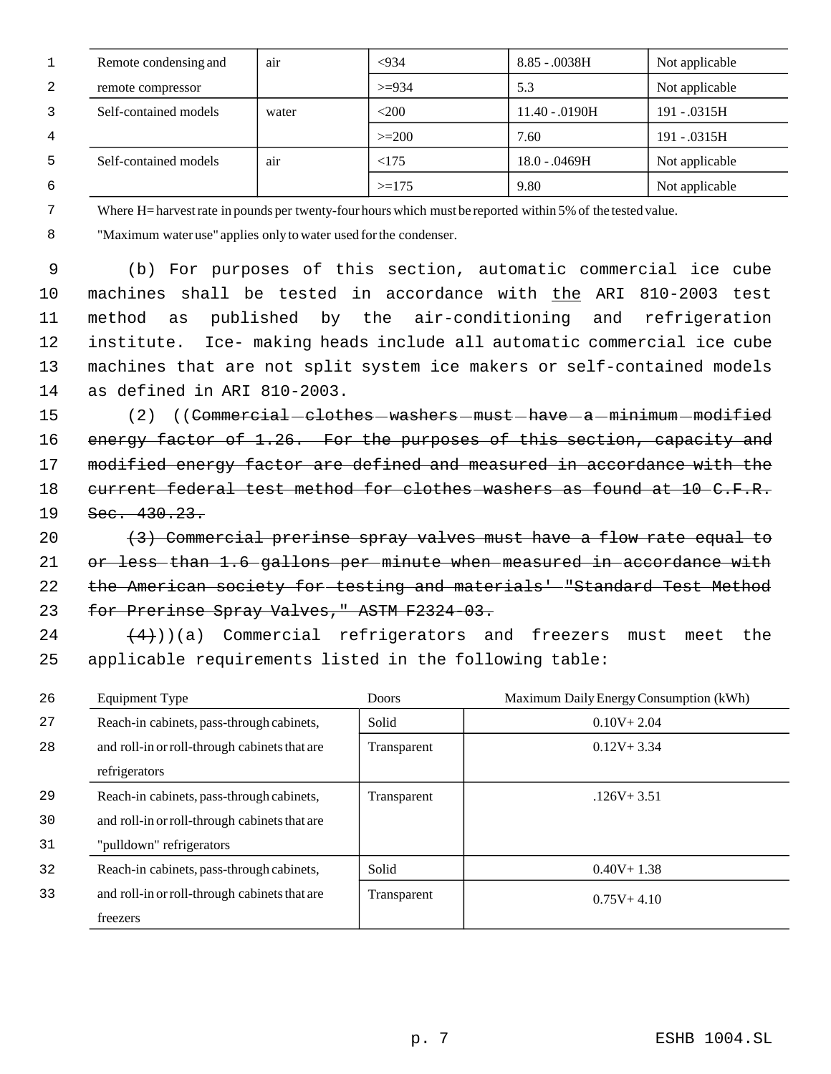|   | Remote condensing and | a <sub>1</sub> r | < 934    | $8.85 - 0038$ H  | Not applicable |
|---|-----------------------|------------------|----------|------------------|----------------|
| 2 | remote compressor     |                  | $>= 934$ | 5.3              | Not applicable |
|   | Self-contained models | water            | $<$ 200  | $11.40 - .0190H$ | 191 - .0315H   |
| 4 |                       |                  | $>=200$  | 7.60             | 191 - .0315H   |
|   | Self-contained models | a <sub>1</sub> r | < 175    | 18.0 - .0469H    | Not applicable |
| 6 |                       |                  | $>=175$  | 9.80             | Not applicable |

7

Where H= harvest rate in pounds per twenty-four hours which must be reported within 5% of the tested value.

 8 "Maximum water use" applies only to water used for the condenser.

 (b) For purposes of this section, automatic commercial ice cube 10 machines shall be tested in accordance with the ARI 810-2003 test method as published by the air-conditioning and refrigeration institute. Ice- making heads include all automatic commercial ice cube machines that are not split system ice makers or self-contained models as defined in ARI 810-2003.

15 (2) ((Commercial clothes - washers - must - have - a - minimum - modified 16 energy factor of 1.26. For the purposes of this section, capacity and 17 modified energy factor are defined and measured in accordance with the 18 current federal test method for clothes washers as found at 10 C.F.R. 19 Sec. 430.23.

20 (3) Commercial prerinse spray valves must have a flow rate equal to 21 or less than 1.6 gallons per minute when measured in accordance with 22 the American society for testing and materials' "Standard Test Method 23 for Prerinse Spray Valves," ASTM F2324-03.

 $(4)$ ))(a) Commercial refrigerators and freezers must meet the 25 applicable requirements listed in the following table:

| 26 | Equipment Type                                | <b>Doors</b> | Maximum Daily Energy Consumption (kWh) |
|----|-----------------------------------------------|--------------|----------------------------------------|
| 27 | Reach-in cabinets, pass-through cabinets,     | Solid        | $0.10V + 2.04$                         |
| 28 | and roll-in or roll-through cabinets that are | Transparent  | $0.12V + 3.34$                         |
|    | refrigerators                                 |              |                                        |
| 29 | Reach-in cabinets, pass-through cabinets,     | Transparent  | $.126V + 3.51$                         |
| 30 | and roll-in or roll-through cabinets that are |              |                                        |
| 31 | "pulldown" refrigerators                      |              |                                        |
| 32 | Reach-in cabinets, pass-through cabinets,     | Solid        | $0.40V + 1.38$                         |
| 33 | and roll-in or roll-through cabinets that are | Transparent  | $0.75V + 4.10$                         |
|    | freezers                                      |              |                                        |

p. 7 ESHB 1004.SL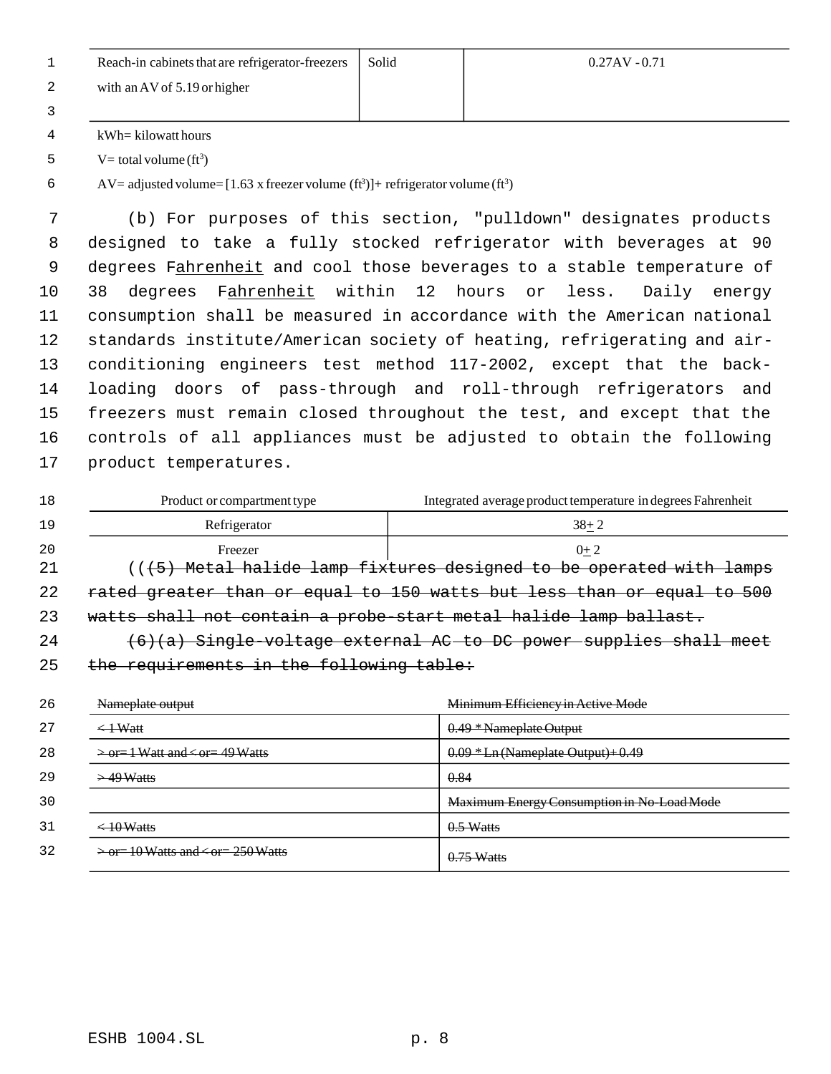| Reach-in cabinets that are refrigerator-freezers | Solid | $0.27AV - 0.71$ |
|--------------------------------------------------|-------|-----------------|
| with an AV of $5.19$ or higher                   |       |                 |
|                                                  |       |                 |
| kWh= kilowatt hours                              |       |                 |

 V = total volume  $(ft^3)$ 

 AV= adjusted volume=  $[1.63 \times \text{freeger}$  volume  $(\text{ft}^3)]$ + refrigerator volume  $(\text{ft}^3)$ 

 (b) For purposes of this section, "pulldown" designates products designed to take a fully stocked refrigerator with beverages at 90 9 degrees Fahrenheit and cool those beverages to a stable temperature of 10 38 degrees Fahrenheit within 12 hours or less. Daily energy consumption shall be measured in accordance with the American national standards institute/American society of heating, refrigerating and air- conditioning engineers test method 117-2002, except that the back- loading doors of pass-through and roll-through refrigerators and freezers must remain closed throughout the test, and except that the controls of all appliances must be adjusted to obtain the following product temperatures.

| 18  | Product or compartment type              | Integrated average product temperature in degrees Fahrenheit           |
|-----|------------------------------------------|------------------------------------------------------------------------|
| 19  | Refrigerator                             | $38 + 2$                                                               |
| -20 | Freezer                                  | $0+2$                                                                  |
| -21 |                                          | ((+5) Metal halide lamp fixtures designed to be operated with lamps    |
| 22  |                                          | rated greater than or equal to 150 watts but less than or equal to 500 |
| 23  |                                          | watts shall not contain a probe-start metal halide lamp ballast.       |
| 24  |                                          | $(6)(a)$ Single voltage external AC to DC power supplies shall meet    |
| -25 | the requirements in the following table: |                                                                        |

| 26 | Nameplate output                                      | Minimum Efficiency in Active Mode          |
|----|-------------------------------------------------------|--------------------------------------------|
| 27 | $\leftarrow$ + Watt                                   | 0.49 * Nameplate Output                    |
| 28 | $\geq$ or $=$ 1 Watt and $\lt$ or $=$ 49 Watts        | $0.09 * Ln$ (Nameplate Output) + 0.49      |
| 29 | $>49$ Watts                                           | 0.84                                       |
| 30 |                                                       | Maximum Energy Consumption in No-Load Mode |
| 31 | $\leftarrow 10$ Watts                                 | $0.5$ Watts                                |
| 32 | $\rightarrow$ or = 10 Watts and $\leq$ or = 250 Watts | $0.75$ Watts                               |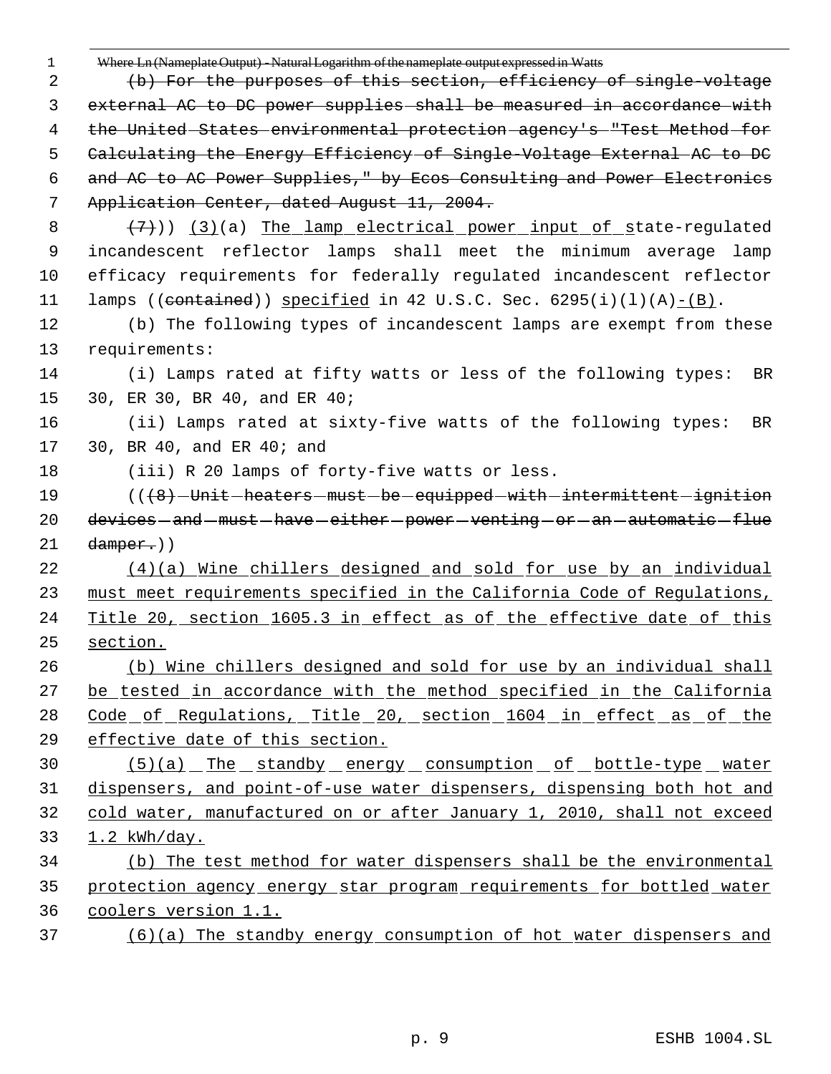| $\mathbf 1$ | Where Ln (Nameplate Output) - Natural Logarithm of the nameplate output expressed in Watts |
|-------------|--------------------------------------------------------------------------------------------|
| 2           | (b) For the purposes of this section, efficiency of single-voltage                         |
| 3           | external AC to DC power supplies shall be measured in accordance with                      |
| 4           | the United States environmental protection agency's "Test Method for                       |
| 5           | Calculating the Energy Efficiency of Single Voltage External AC to DC                      |
| 6           | and AC to AC Power Supplies," by Ecos Consulting and Power Electronics                     |
| 7           | Application Center, dated August 11, 2004.                                                 |
| 8           | $(7)$ ) (3)(a) The lamp electrical power input of state-regulated                          |
| 9           | incandescent reflector lamps shall meet the minimum average lamp                           |
| 10          | efficacy requirements for federally regulated incandescent reflector                       |
| 11          | lamps ((contained)) specified in 42 U.S.C. Sec. $6295(i)(1)(A) - (B)$ .                    |
| 12          | (b) The following types of incandescent lamps are exempt from these                        |
| 13          | requirements:                                                                              |
| 14          | (i) Lamps rated at fifty watts or less of the following types:<br>BR                       |
| 15          | 30, ER 30, BR 40, and ER 40;                                                               |
| 16          | (ii) Lamps rated at sixty-five watts of the following types:<br>BR                         |
| 17          | 30, BR 40, and ER 40; and                                                                  |
| 18          | (iii) R 20 lamps of forty-five watts or less.                                              |
| 19          | (( <del>(8)</del> -Unit-heaters-must-be-equipped-with-intermittent-ignition                |
|             |                                                                                            |
| 20          | devices-and-must-have-either-power-venting-or-an-automatic-flue                            |
|             | $damper.)$ )                                                                               |
| 21<br>22    | (4)(a) Wine chillers designed and sold for use by an individual                            |
| 23          | must meet requirements specified in the California Code of Regulations,                    |
| 24          | Title 20, section 1605.3 in effect as of the effective date of this                        |
| 25          | section.                                                                                   |
| 26          | (b) Wine chillers designed and sold for use by an individual shall                         |
| 27          | be tested in accordance with the method specified in the California                        |
| 28          | Code of Regulations, Title 20, section 1604 in effect as of the                            |
| 29          | effective date of this section.                                                            |
| 30          | $(5)(a)$ The standby energy consumption of bottle-type water                               |
| 31          | dispensers, and point-of-use water dispensers, dispensing both hot and                     |
|             | cold water, manufactured on or after January 1, 2010, shall not exceed                     |
| 32<br>33    | $1.2$ kWh/day.                                                                             |
| 34          | (b) The test method for water dispensers shall be the environmental                        |
| 35          | protection agency energy star program requirements for bottled water                       |
| 36          | coolers version 1.1.                                                                       |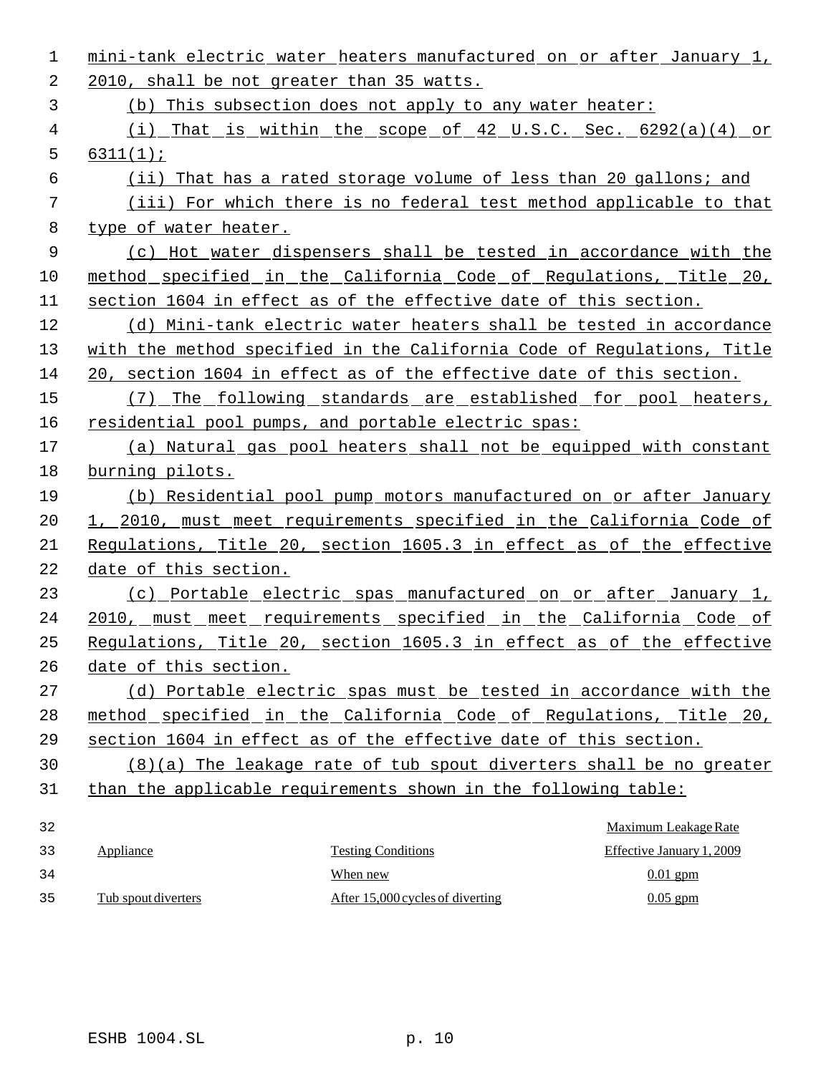| 1  |                       | mini-tank electric water heaters manufactured on or after January 1,    |                           |
|----|-----------------------|-------------------------------------------------------------------------|---------------------------|
| 2  |                       | 2010, shall be not greater than 35 watts.                               |                           |
| 3  |                       | (b) This subsection does not apply to any water heater:                 |                           |
| 4  |                       | (i) That is within the scope of 42 U.S.C. Sec. $6292(a)(4)$ or          |                           |
| 5  | 6311(1);              |                                                                         |                           |
| 6  |                       | (ii) That has a rated storage volume of less than 20 gallons; and       |                           |
| 7  |                       | (iii) For which there is no federal test method applicable to that      |                           |
| 8  | type of water heater. |                                                                         |                           |
| 9  |                       | (c) Hot water dispensers shall be tested in accordance with the         |                           |
| 10 |                       | method specified in the California Code of Regulations, Title 20,       |                           |
| 11 |                       | section 1604 in effect as of the effective date of this section.        |                           |
| 12 |                       | (d) Mini-tank electric water heaters shall be tested in accordance      |                           |
| 13 |                       | with the method specified in the California Code of Requlations, Title  |                           |
| 14 |                       | 20, section 1604 in effect as of the effective date of this section.    |                           |
| 15 |                       | (7) The following standards are established for pool heaters,           |                           |
| 16 |                       | residential pool pumps, and portable electric spas:                     |                           |
| 17 |                       | (a) Natural gas pool heaters shall not be equipped with constant        |                           |
| 18 | burning pilots.       |                                                                         |                           |
| 19 |                       | (b) Residential pool pump motors manufactured on or after January       |                           |
| 20 |                       | 1, 2010, must meet requirements specified in the California Code of     |                           |
| 21 |                       | Regulations, Title 20, section 1605.3 in effect as of the effective     |                           |
| 22 | date of this section. |                                                                         |                           |
| 23 |                       | (c) Portable electric spas manufactured on or after January 1,          |                           |
| 24 |                       | <u>2010, must meet requirements specified in the California Code of</u> |                           |
| 25 |                       | Regulations, Title 20, section 1605.3 in effect as of the effective     |                           |
| 26 | date of this section. |                                                                         |                           |
| 27 |                       | (d) Portable electric spas must be tested in accordance with the        |                           |
| 28 |                       | method specified in the California Code of Regulations, Title 20,       |                           |
| 29 |                       | section 1604 in effect as of the effective date of this section.        |                           |
| 30 |                       | (8)(a) The leakage rate of tub spout diverters shall be no greater      |                           |
| 31 |                       | than the applicable requirements shown in the following table:          |                           |
| 32 |                       |                                                                         | Maximum Leakage Rate      |
| 33 | Appliance             | <b>Testing Conditions</b>                                               | Effective January 1, 2009 |
| 34 |                       | When new                                                                | $0.01$ gpm                |
| 35 | Tub spout diverters   | After 15,000 cycles of diverting                                        | $0.05$ gpm                |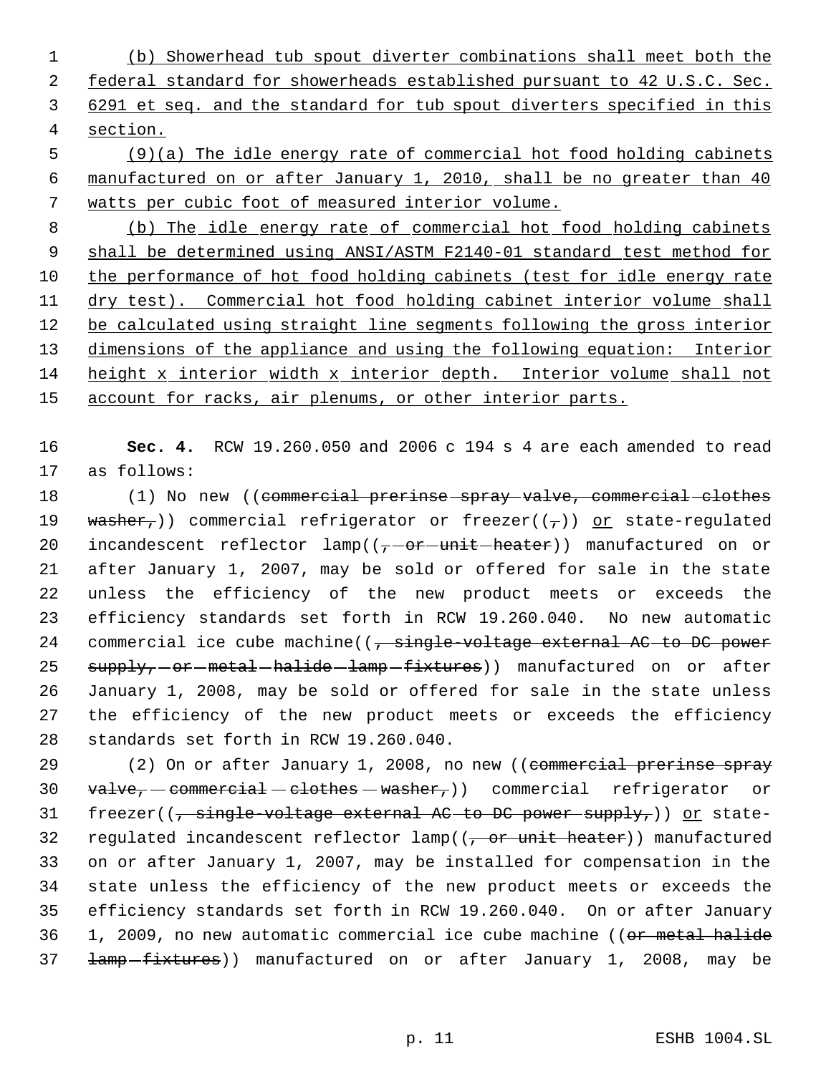(b) Showerhead tub spout diverter combinations shall meet both the 2 federal standard for showerheads established pursuant to 42 U.S.C. Sec. 6291 et seq. and the standard for tub spout diverters specified in this section.

 (9)(a) The idle energy rate of commercial hot food holding cabinets manufactured on or after January 1, 2010, shall be no greater than 40 watts per cubic foot of measured interior volume.

 (b) The idle energy rate of commercial hot food holding cabinets 9 shall be determined using ANSI/ASTM F2140-01 standard test method for the performance of hot food holding cabinets (test for idle energy rate dry test). Commercial hot food holding cabinet interior volume shall 12 be calculated using straight line segments following the gross interior 13 dimensions of the appliance and using the following equation: Interior height x interior width x interior depth. Interior volume shall not 15 account for racks, air plenums, or other interior parts.

 **Sec. 4.** RCW 19.260.050 and 2006 c 194 s 4 are each amended to read as follows:

18 (1) No new ((commercial prerinse spray valve, commercial clothes 19 washer,)) commercial refrigerator or freezer( $(\tau)$ ) or state-regulated 20 incandescent reflector  $lamp((\tau-\theta r-\text{unit}-\text{heater}))$  manufactured on or after January 1, 2007, may be sold or offered for sale in the state unless the efficiency of the new product meets or exceeds the efficiency standards set forth in RCW 19.260.040. No new automatic 24 commercial ice cube machine( $\left( \frac{1}{2} + \frac{1}{2} \right)$  commercial ice cube machine( $\left( \frac{1}{2} + \frac{1}{2} \right)$  commercial ice cube machine( $\left( \frac{1}{2} + \frac{1}{2} \right)$  commercial ice cube machine( $\left( \frac{1}{2} + \frac{1}{2} \right)$  contents e 25 supply,-or-metal-halide-lamp-fixtures)) manufactured on or after January 1, 2008, may be sold or offered for sale in the state unless the efficiency of the new product meets or exceeds the efficiency standards set forth in RCW 19.260.040.

29 (2) On or after January 1, 2008, no new ((commercial prerinse spray  $\text{value}, -\text{comment} -\text{clothes} - \text{washer},$ )) commercial refrigerator or  $freezer((\frac{1}{2} - 1)$  freezer(( $\frac{1}{2}$  single-voltage external AC to DC power supply,)) or state-32 regulated incandescent reflector  $lamp((\tau or unit heater))$  manufactured on or after January 1, 2007, may be installed for compensation in the state unless the efficiency of the new product meets or exceeds the efficiency standards set forth in RCW 19.260.040. On or after January 1, 2009, no new automatic commercial ice cube machine ((or metal halide **Lamp**-fixtures)) manufactured on or after January 1, 2008, may be